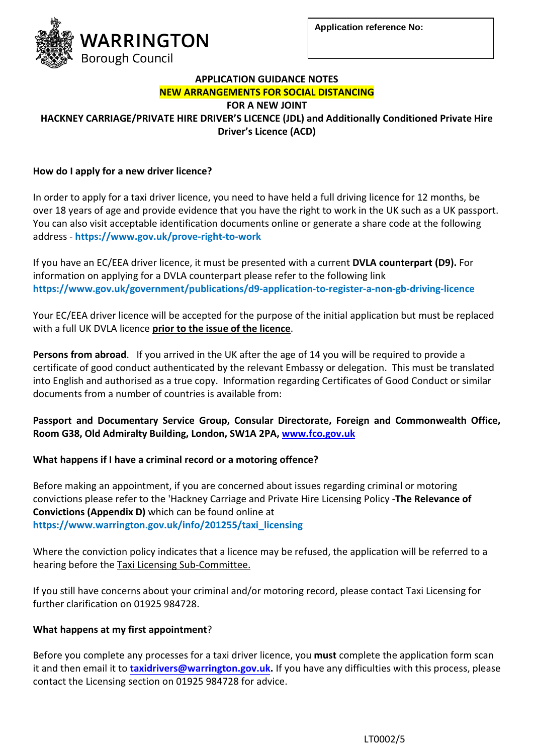

#### **APPLICATION GUIDANCE NOTES NEW ARRANGEMENTS FOR SOCIAL DISTANCING**

**FOR A NEW JOINT**

**HACKNEY CARRIAGE/PRIVATE HIRE DRIVER'S LICENCE (JDL) and Additionally Conditioned Private Hire Driver's Licence (ACD)**

# **How do I apply for a new driver licence?**

In order to apply for a taxi driver licence, you need to have held a full driving licence for 12 months, be over 18 years of age and provide evidence that you have the right to work in the UK such as a UK passport. You can also visit acceptable identification documents online or generate a share code at the following address - **https://www.gov.uk/prove-right-to-work**

If you have an EC/EEA driver licence, it must be presented with a current **DVLA counterpart (D9).** For information on applying for a DVLA counterpart please refer to the following link **https://www.gov.uk/government/publications/d9-application-to-register-a-non-gb-driving-licence**

Your EC/EEA driver licence will be accepted for the purpose of the initial application but must be replaced with a full UK DVLA licence **prior to the issue of the licence**.

**Persons from abroad**. If you arrived in the UK after the age of 14 you will be required to provide a certificate of good conduct authenticated by the relevant Embassy or delegation. This must be translated into English and authorised as a true copy. Information regarding Certificates of Good Conduct or similar documents from a number of countries is available from:

# **Passport and Documentary Service Group, Consular Directorate, Foreign and Commonwealth Office, Room G38, Old Admiralty Building, London, SW1A 2PA, [www.fco.gov.uk](http://www.fco.gov.uk/)**

# **What happens if I have a criminal record or a motoring offence?**

Before making an appointment, if you are concerned about issues regarding criminal or motoring convictions please refer to the 'Hackney Carriage and Private Hire Licensing Policy -**The Relevance of Convictions (Appendix D)** which can be found online at **https://www.warrington.gov.uk/info/201255/taxi\_licensing**

Where the conviction policy indicates that a licence may be refused, the application will be referred to a hearing before th[e Taxi Licensing Sub-Committee.](https://www.preston.gov.uk/businesses/licensing/taxi-licences/taxi-meetings-and-committees/taxi-committee/)

If you still have concerns about your criminal and/or motoring record, please contact Taxi Licensing for further clarification on 01925 984728.

# **What happens at my first appointment**?

Before you complete any processes for a taxi driver licence, you **must** complete the application form scan it and then email it to **taxidrivers[@warrington.gov.uk.](mailto:taxi@warrington.gov.uk)** If you have any difficulties with this process, please contact the Licensing section on 01925 984728 for advice.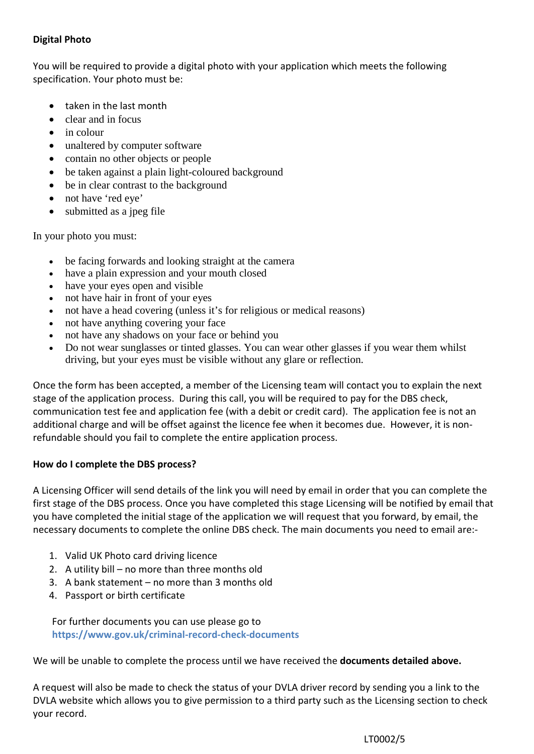## **Digital Photo**

You will be required to provide a digital photo with your application which meets the following specification. Your photo must be:

- taken in the last month
- clear and in focus
- in colour
- unaltered by computer software
- contain no other objects or people
- be taken against a plain light-coloured background
- be in clear contrast to the background
- not have 'red eye'
- submitted as a jpeg file

In your photo you must:

- be facing forwards and looking straight at the camera
- have a plain expression and your mouth closed
- have your eyes open and visible
- not have hair in front of your eyes
- not have a head covering (unless it's for religious or medical reasons)
- not have anything covering your face
- not have any shadows on your face or behind you
- Do not wear sunglasses or tinted glasses. You can wear other glasses if you wear them whilst driving, but your eyes must be visible without any glare or reflection.

Once the form has been accepted, a member of the Licensing team will contact you to explain the next stage of the application process. During this call, you will be required to pay for the DBS check, communication test fee and application fee (with a debit or credit card). The application fee is not an additional charge and will be offset against the licence fee when it becomes due. However, it is nonrefundable should you fail to complete the entire application process.

### **How do I complete the DBS process?**

A Licensing Officer will send details of the link you will need by email in order that you can complete the first stage of the DBS process. Once you have completed this stage Licensing will be notified by email that you have completed the initial stage of the application we will request that you forward, by email, the necessary documents to complete the online DBS check. The main documents you need to email are:-

- 1. Valid UK Photo card driving licence
- 2. A utility bill no more than three months old
- 3. A bank statement no more than 3 months old
- 4. Passport or birth certificate

For further documents you can use please go to **https://www.gov.uk/criminal-record-check-documents**

We will be unable to complete the process until we have received the **documents detailed above.** 

A request will also be made to check the status of your DVLA driver record by sending you a link to the DVLA website which allows you to give permission to a third party such as the Licensing section to check your record.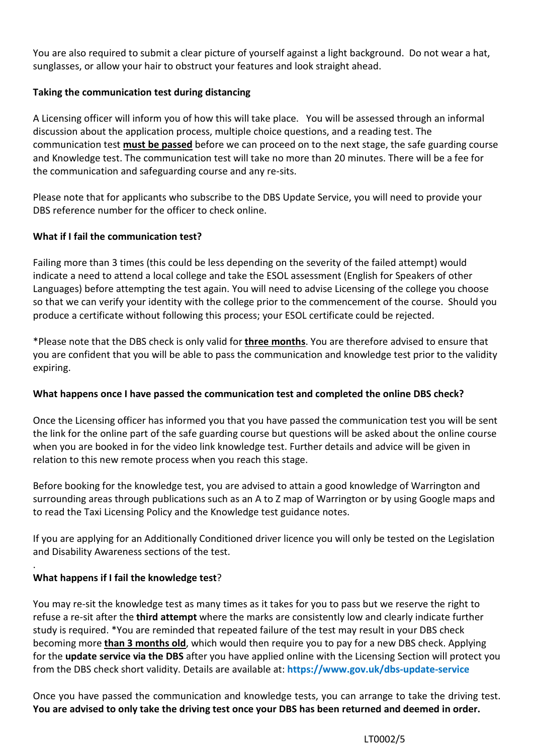You are also required to submit a clear picture of yourself against a light background. Do not wear a hat, sunglasses, or allow your hair to obstruct your features and look straight ahead.

## **Taking the communication test during distancing**

A Licensing officer will inform you of how this will take place. You will be assessed through an informal discussion about the application process, multiple choice questions, and a reading test. The communication test **must be passed** before we can proceed on to the next stage, the safe guarding course and Knowledge test. The communication test will take no more than 20 minutes. There will be a fee for the communication and safeguarding course and any re-sits.

Please note that for applicants who subscribe to the DBS Update Service, you will need to provide your DBS reference number for the officer to check online.

## **What if I fail the communication test?**

Failing more than 3 times (this could be less depending on the severity of the failed attempt) would indicate a need to attend a local college and take the ESOL assessment (English for Speakers of other Languages) before attempting the test again. You will need to advise Licensing of the college you choose so that we can verify your identity with the college prior to the commencement of the course. Should you produce a certificate without following this process; your ESOL certificate could be rejected.

\*Please note that the DBS check is only valid for **three months**. You are therefore advised to ensure that you are confident that you will be able to pass the communication and knowledge test prior to the validity expiring.

### **What happens once I have passed the communication test and completed the online DBS check?**

Once the Licensing officer has informed you that you have passed the communication test you will be sent the link for the online part of the safe guarding course but questions will be asked about the online course when you are booked in for the video link knowledge test. Further details and advice will be given in relation to this new remote process when you reach this stage.

Before booking for the knowledge test, you are advised to attain a good knowledge of Warrington and surrounding areas through publications such as an A to Z map of Warrington or by using Google maps and to read the Taxi Licensing Policy and the Knowledge test guidance notes.

If you are applying for an Additionally Conditioned driver licence you will only be tested on the Legislation and Disability Awareness sections of the test.

# **What happens if I fail the knowledge test**?

.

You may re-sit the knowledge test as many times as it takes for you to pass but we reserve the right to refuse a re-sit after the **third attempt** where the marks are consistently low and clearly indicate further study is required. \*You are reminded that repeated failure of the test may result in your DBS check becoming more **than 3 months old**, which would then require you to pay for a new DBS check. Applying for the **update service via the DBS** after you have applied online with the Licensing Section will protect you from the DBS check short validity. Details are available at: **https://www.gov.uk/dbs-update-service**

Once you have passed the communication and knowledge tests, you can arrange to take the driving test. **You are advised to only take the driving test once your DBS has been returned and deemed in order.**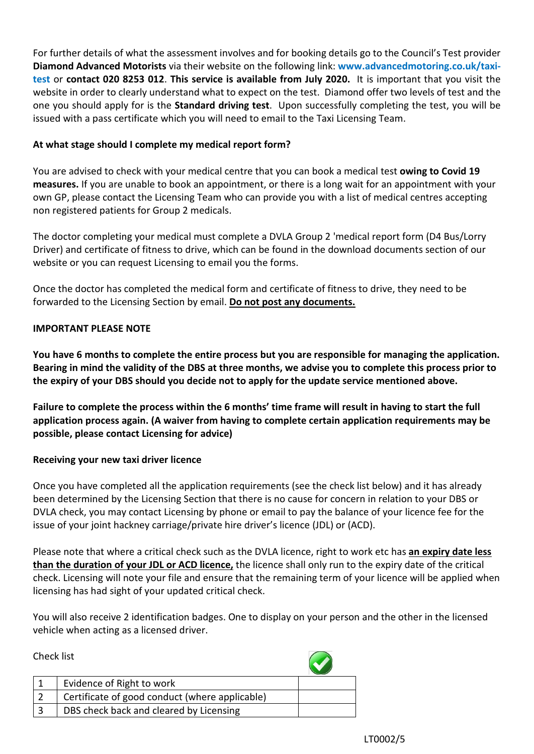For further details of what the assessment involves and for booking details go to the Council's Test provider **Diamond Advanced Motorists** via their website on the following link: **www.advancedmotoring.co.uk/taxitest** or **contact 020 8253 012**. **This service is available from July 2020.** It is important that you visit the website in order to clearly understand what to expect on the test. Diamond offer two levels of test and the one you should apply for is the **Standard driving test**. Upon successfully completing the test, you will be issued with a pass certificate which you will need to email to the Taxi Licensing Team.

### **At what stage should I complete my medical report form?**

You are advised to check with your medical centre that you can book a medical test **owing to Covid 19 measures.** If you are unable to book an appointment, or there is a long wait for an appointment with your own GP, please contact the Licensing Team who can provide you with a list of medical centres accepting non registered patients for Group 2 medicals.

The doctor completing your medical must complete a DVLA Group 2 'medical report form (D4 Bus/Lorry Driver) and certificate of fitness to drive, which can be found in the download documents section of our website or you can request Licensing to email you the forms.

Once the doctor has completed the medical form and certificate of fitness to drive, they need to be forwarded to the Licensing Section by email. **Do not post any documents.**

### **IMPORTANT PLEASE NOTE**

**You have 6 months to complete the entire process but you are responsible for managing the application. Bearing in mind the validity of the DBS at three months, we advise you to complete this process prior to the expiry of your DBS should you decide not to apply for the update service mentioned above.** 

**Failure to complete the process within the 6 months' time frame will result in having to start the full application process again. (A waiver from having to complete certain application requirements may be possible, please contact Licensing for advice)** 

### **Receiving your new taxi driver licence**

Once you have completed all the application requirements (see the check list below) and it has already been determined by the Licensing Section that there is no cause for concern in relation to your DBS or DVLA check, you may contact Licensing by phone or email to pay the balance of your licence fee for the issue of your joint hackney carriage/private hire driver's licence (JDL) or (ACD).

Please note that where a critical check such as the DVLA licence, right to work etc has **an expiry date less than the duration of your JDL or ACD licence,** the licence shall only run to the expiry date of the critical check. Licensing will note your file and ensure that the remaining term of your licence will be applied when licensing has had sight of your updated critical check.

You will also receive 2 identification badges. One to display on your person and the other in the licensed vehicle when acting as a licensed driver.

 $\sqrt{2}$ 

Chark list

| יייייייייי |                                                |  |
|------------|------------------------------------------------|--|
|            | Evidence of Right to work                      |  |
|            | Certificate of good conduct (where applicable) |  |
|            | DBS check back and cleared by Licensing        |  |